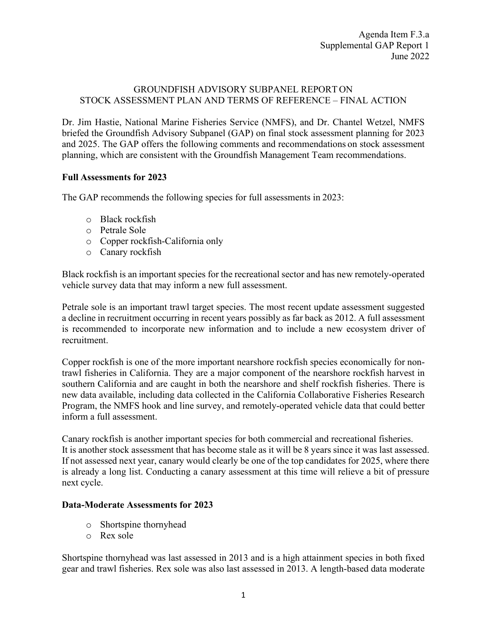### GROUNDFISH ADVISORY SUBPANEL REPORT ON STOCK ASSESSMENT PLAN AND TERMS OF REFERENCE – FINAL ACTION

Dr. Jim Hastie, National Marine Fisheries Service (NMFS), and Dr. Chantel Wetzel, NMFS briefed the Groundfish Advisory Subpanel (GAP) on final stock assessment planning for 2023 and 2025. The GAP offers the following comments and recommendations on stock assessment planning, which are consistent with the Groundfish Management Team recommendations.

### **Full Assessments for 2023**

The GAP recommends the following species for full assessments in 2023:

- o Black rockfish
- o Petrale Sole
- o Copper rockfish-California only
- o Canary rockfish

Black rockfish is an important species for the recreational sector and has new remotely-operated vehicle survey data that may inform a new full assessment.

Petrale sole is an important trawl target species. The most recent update assessment suggested a decline in recruitment occurring in recent years possibly as far back as 2012. A full assessment is recommended to incorporate new information and to include a new ecosystem driver of recruitment.

Copper rockfish is one of the more important nearshore rockfish species economically for nontrawl fisheries in California. They are a major component of the nearshore rockfish harvest in southern California and are caught in both the nearshore and shelf rockfish fisheries. There is new data available, including data collected in the California Collaborative Fisheries Research Program, the NMFS hook and line survey, and remotely-operated vehicle data that could better inform a full assessment.

Canary rockfish is another important species for both commercial and recreational fisheries. It is another stock assessment that has become stale as it will be 8 years since it was last assessed. If not assessed next year, canary would clearly be one of the top candidates for 2025, where there is already a long list. Conducting a canary assessment at this time will relieve a bit of pressure next cycle.

### **Data-Moderate Assessments for 2023**

- o Shortspine thornyhead
- o Rex sole

Shortspine thornyhead was last assessed in 2013 and is a high attainment species in both fixed gear and trawl fisheries. Rex sole was also last assessed in 2013. A length-based data moderate